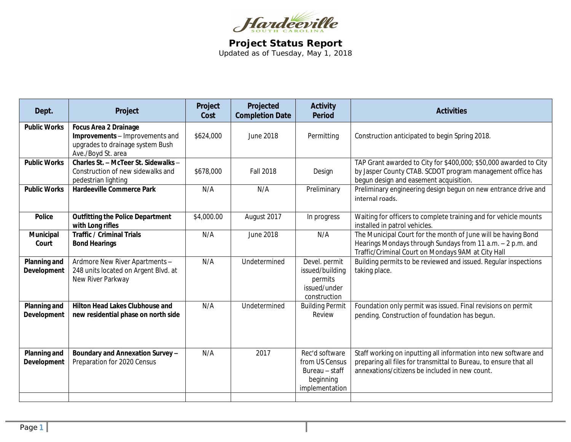

**Project Status Report** Updated as of Tuesday, May 1, 2018

| Dept.                       | Project                                                                                                                   | Project<br>Cost | Projected<br><b>Completion Date</b> | <b>Activity</b><br><b>Period</b>                                                  | <b>Activities</b>                                                                                                                                                                       |
|-----------------------------|---------------------------------------------------------------------------------------------------------------------------|-----------------|-------------------------------------|-----------------------------------------------------------------------------------|-----------------------------------------------------------------------------------------------------------------------------------------------------------------------------------------|
| <b>Public Works</b>         | <b>Focus Area 2 Drainage</b><br>Improvements - Improvements and<br>upgrades to drainage system Bush<br>Ave./Boyd St. area | \$624,000       | June 2018                           | Permitting                                                                        | Construction anticipated to begin Spring 2018.                                                                                                                                          |
| <b>Public Works</b>         | Charles St. - McTeer St. Sidewalks -<br>Construction of new sidewalks and<br>pedestrian lighting                          | \$678,000       | <b>Fall 2018</b>                    | Design                                                                            | TAP Grant awarded to City for \$400,000; \$50,000 awarded to City<br>by Jasper County CTAB. SCDOT program management office has<br>begun design and easement acquisition.               |
| <b>Public Works</b>         | <b>Hardeeville Commerce Park</b>                                                                                          | N/A             | N/A                                 | Preliminary                                                                       | Preliminary engineering design begun on new entrance drive and<br>internal roads.                                                                                                       |
| <b>Police</b>               | <b>Outfitting the Police Department</b><br>with Long rifles                                                               | \$4,000.00      | August 2017                         | In progress                                                                       | Waiting for officers to complete training and for vehicle mounts<br>installed in patrol vehicles.                                                                                       |
| Municipal<br>Court          | <b>Traffic / Criminal Trials</b><br><b>Bond Hearings</b>                                                                  | N/A             | <b>June 2018</b>                    | N/A                                                                               | The Municipal Court for the month of June will be having Bond<br>Hearings Mondays through Sundays from 11 a.m. - 2 p.m. and<br>Traffic/Criminal Court on Mondays 9AM at City Hall       |
| Planning and<br>Development | Ardmore New River Apartments -<br>248 units located on Argent Blvd. at<br>New River Parkway                               | N/A             | Undetermined                        | Devel. permit<br>issued/building<br>permits<br>issued/under<br>construction       | Building permits to be reviewed and issued. Regular inspections<br>taking place.                                                                                                        |
| Planning and<br>Development | <b>Hilton Head Lakes Clubhouse and</b><br>new residential phase on north side                                             | N/A             | Undetermined                        | <b>Building Permit</b><br>Review                                                  | Foundation only permit was issued. Final revisions on permit<br>pending. Construction of foundation has begun.                                                                          |
| Planning and<br>Development | Boundary and Annexation Survey -<br>Preparation for 2020 Census                                                           | N/A             | 2017                                | Rec'd software<br>from US Census<br>Bureau - staff<br>beginning<br>implementation | Staff working on inputting all information into new software and<br>preparing all files for transmittal to Bureau, to ensure that all<br>annexations/citizens be included in new count. |